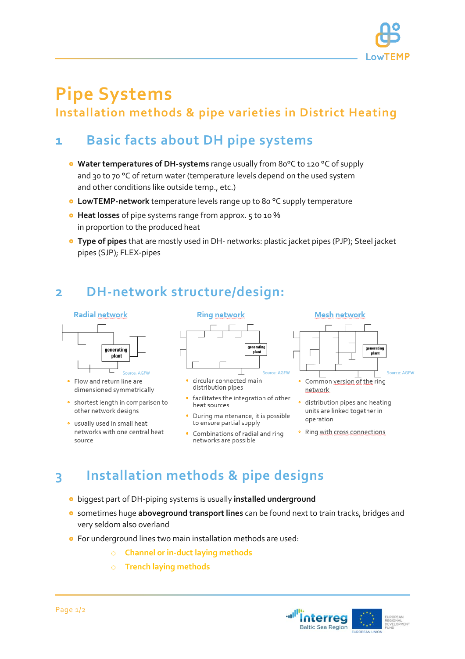

# **Pipe Systems**

### **Installation methods & pipe varieties in District Heating**

### **1 Basic facts about DH pipe systems**

- **Water temperatures of DH-systems** range usually from 80°C to 120 °C of supply and 30 to 70 °C of return water (temperature levels depend on the used system and other conditions like outside temp., etc.)
- **LowTEMP-network** temperature levels range up to 80 °C supply temperature
- **Heat losses** of pipe systems range from approx. 5 to 10 % in proportion to the produced heat
- **Type of pipes** that are mostly used in DH- networks: plastic jacket pipes (PJP); Steel jacket pipes (SJP); FLEX-pipes

### **2 DH-network structure/design:**

# **Radial network**



- Flow and return line are dimensioned symmetrically
- shortest length in comparison to other network designs
- · usually used in small heat networks with one central heat source



- distribution pipes facilitates the integration of other
- heat sources
- · During maintenance, it is possible to ensure partial supply
- Combinations of radial and ring networks are possible



- · distribution pipes and heating units are linked together in operation
- Ring with cross connections

## **3 Installation methods & pipe designs**

- biggest part of DH-piping systems is usually **installed underground**
- sometimes huge **aboveground transport lines** can be found next to train tracks, bridges and very seldom also overland
- For underground lines two main installation methods are used:
	- **Channel or in-duct laying methods**
	- o **Trench laying methods**